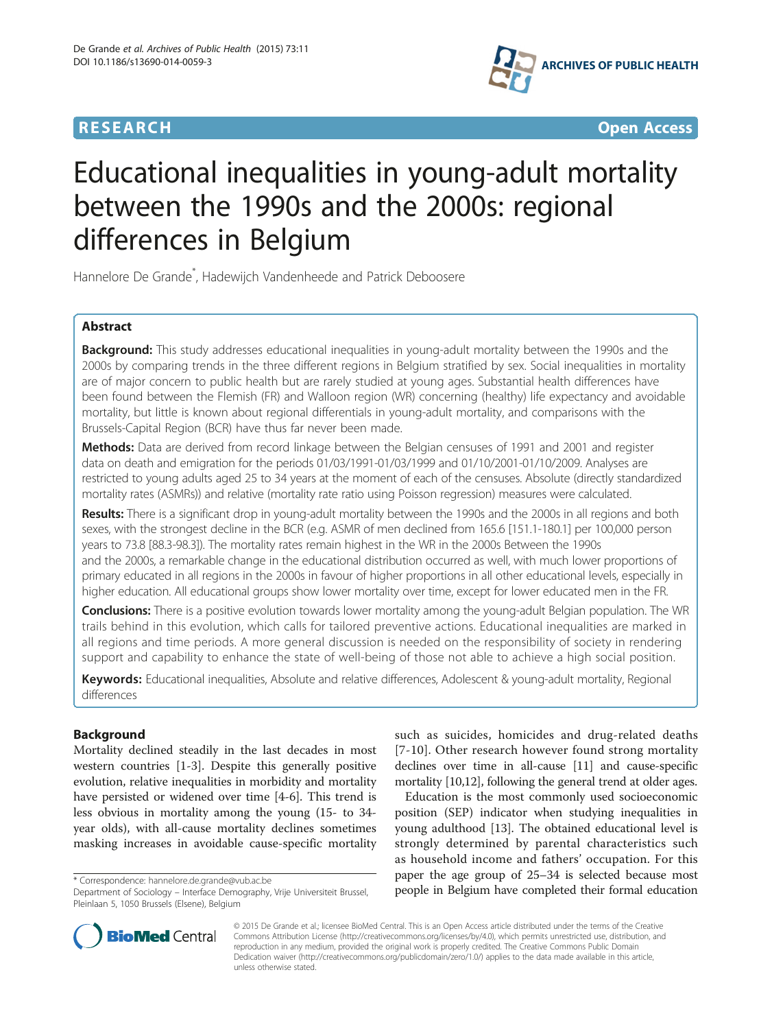# **RESEARCH RESEARCH** *CHECK CHECK CHECK CHECK CHECK CHECK CHECK CHECK CHECK CHECK CHECK CHECK CHECK CHECK CHECK CHECK CHECK CHECK CHECK CHECK CHECK CHECK CHECK CHECK CHECK CHECK CHECK CHECK CHECK CHECK CHECK CHECK CHECK*



# Educational inequalities in young-adult mortality between the 1990s and the 2000s: regional differences in Belgium

Hannelore De Grande\* , Hadewijch Vandenheede and Patrick Deboosere

# Abstract

Background: This study addresses educational inequalities in young-adult mortality between the 1990s and the 2000s by comparing trends in the three different regions in Belgium stratified by sex. Social inequalities in mortality are of major concern to public health but are rarely studied at young ages. Substantial health differences have been found between the Flemish (FR) and Walloon region (WR) concerning (healthy) life expectancy and avoidable mortality, but little is known about regional differentials in young-adult mortality, and comparisons with the Brussels-Capital Region (BCR) have thus far never been made.

Methods: Data are derived from record linkage between the Belgian censuses of 1991 and 2001 and register data on death and emigration for the periods 01/03/1991-01/03/1999 and 01/10/2001-01/10/2009. Analyses are restricted to young adults aged 25 to 34 years at the moment of each of the censuses. Absolute (directly standardized mortality rates (ASMRs)) and relative (mortality rate ratio using Poisson regression) measures were calculated.

Results: There is a significant drop in young-adult mortality between the 1990s and the 2000s in all regions and both sexes, with the strongest decline in the BCR (e.g. ASMR of men declined from 165.6 [151.1-180.1] per 100,000 person years to 73.8 [88.3-98.3]). The mortality rates remain highest in the WR in the 2000s Between the 1990s and the 2000s, a remarkable change in the educational distribution occurred as well, with much lower proportions of primary educated in all regions in the 2000s in favour of higher proportions in all other educational levels, especially in higher education. All educational groups show lower mortality over time, except for lower educated men in the FR.

Conclusions: There is a positive evolution towards lower mortality among the young-adult Belgian population. The WR trails behind in this evolution, which calls for tailored preventive actions. Educational inequalities are marked in all regions and time periods. A more general discussion is needed on the responsibility of society in rendering support and capability to enhance the state of well-being of those not able to achieve a high social position.

Keywords: Educational inequalities, Absolute and relative differences, Adolescent & young-adult mortality, Regional differences

# Background

Mortality declined steadily in the last decades in most western countries [\[1](#page-11-0)-[3\]](#page-11-0). Despite this generally positive evolution, relative inequalities in morbidity and mortality have persisted or widened over time [[4-6](#page-11-0)]. This trend is less obvious in mortality among the young (15- to 34 year olds), with all-cause mortality declines sometimes masking increases in avoidable cause-specific mortality

such as suicides, homicides and drug-related deaths [[7](#page-11-0)-[10](#page-11-0)]. Other research however found strong mortality declines over time in all-cause [\[11\]](#page-11-0) and cause-specific mortality [[10,12](#page-11-0)], following the general trend at older ages.

Education is the most commonly used socioeconomic position (SEP) indicator when studying inequalities in young adulthood [[13](#page-11-0)]. The obtained educational level is strongly determined by parental characteristics such as household income and fathers' occupation. For this paper the age group of 25–34 is selected because most \* Correspondence: [hannelore.de.grande@vub.ac.be](mailto:hannelore.de.grande@vub.ac.be) **by the people in Belgium have completed their formal education**<br>Department of Sociology – Interface Demography, Vrije Universiteit Brussel, **people in Belgium have completed** 



© 2015 De Grande et al.; licensee BioMed Central. This is an Open Access article distributed under the terms of the Creative Commons Attribution License [\(http://creativecommons.org/licenses/by/4.0\)](http://creativecommons.org/licenses/by/4.0), which permits unrestricted use, distribution, and reproduction in any medium, provided the original work is properly credited. The Creative Commons Public Domain Dedication waiver [\(http://creativecommons.org/publicdomain/zero/1.0/](http://creativecommons.org/publicdomain/zero/1.0/)) applies to the data made available in this article, unless otherwise stated.

Department of Sociology – Interface Demography, Vrije Universiteit Brussel, Pleinlaan 5, 1050 Brussels (Elsene), Belgium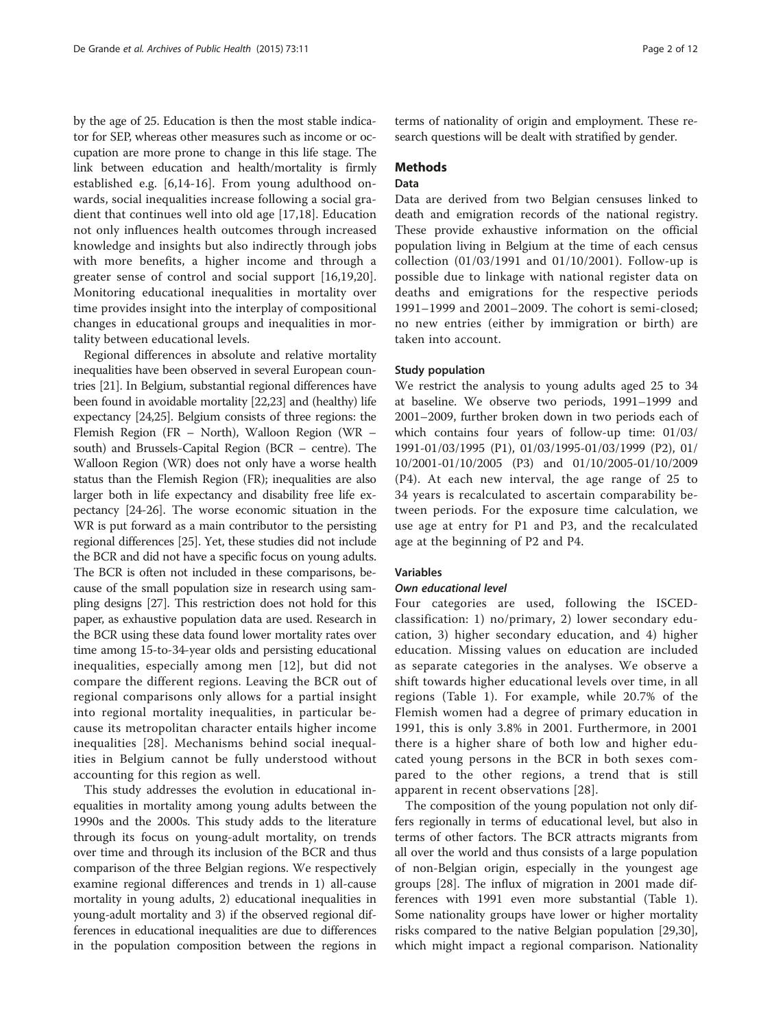by the age of 25. Education is then the most stable indicator for SEP, whereas other measures such as income or occupation are more prone to change in this life stage. The link between education and health/mortality is firmly established e.g. [[6,14-16](#page-11-0)]. From young adulthood onwards, social inequalities increase following a social gradient that continues well into old age [[17,18](#page-11-0)]. Education not only influences health outcomes through increased knowledge and insights but also indirectly through jobs with more benefits, a higher income and through a greater sense of control and social support [[16,19,20](#page-11-0)]. Monitoring educational inequalities in mortality over time provides insight into the interplay of compositional changes in educational groups and inequalities in mortality between educational levels.

Regional differences in absolute and relative mortality inequalities have been observed in several European countries [[21](#page-11-0)]. In Belgium, substantial regional differences have been found in avoidable mortality [[22,23\]](#page-11-0) and (healthy) life expectancy [\[24,25\]](#page-11-0). Belgium consists of three regions: the Flemish Region (FR – North), Walloon Region (WR – south) and Brussels-Capital Region (BCR – centre). The Walloon Region (WR) does not only have a worse health status than the Flemish Region (FR); inequalities are also larger both in life expectancy and disability free life expectancy [[24](#page-11-0)-[26\]](#page-11-0). The worse economic situation in the WR is put forward as a main contributor to the persisting regional differences [\[25\]](#page-11-0). Yet, these studies did not include the BCR and did not have a specific focus on young adults. The BCR is often not included in these comparisons, because of the small population size in research using sampling designs [\[27\]](#page-11-0). This restriction does not hold for this paper, as exhaustive population data are used. Research in the BCR using these data found lower mortality rates over time among 15-to-34-year olds and persisting educational inequalities, especially among men [\[12\]](#page-11-0), but did not compare the different regions. Leaving the BCR out of regional comparisons only allows for a partial insight into regional mortality inequalities, in particular because its metropolitan character entails higher income inequalities [[28\]](#page-11-0). Mechanisms behind social inequalities in Belgium cannot be fully understood without accounting for this region as well.

This study addresses the evolution in educational inequalities in mortality among young adults between the 1990s and the 2000s. This study adds to the literature through its focus on young-adult mortality, on trends over time and through its inclusion of the BCR and thus comparison of the three Belgian regions. We respectively examine regional differences and trends in 1) all-cause mortality in young adults, 2) educational inequalities in young-adult mortality and 3) if the observed regional differences in educational inequalities are due to differences in the population composition between the regions in

terms of nationality of origin and employment. These research questions will be dealt with stratified by gender.

# **Methods**

#### Data

Data are derived from two Belgian censuses linked to death and emigration records of the national registry. These provide exhaustive information on the official population living in Belgium at the time of each census collection (01/03/1991 and 01/10/2001). Follow-up is possible due to linkage with national register data on deaths and emigrations for the respective periods 1991–1999 and 2001–2009. The cohort is semi-closed; no new entries (either by immigration or birth) are taken into account.

# Study population

We restrict the analysis to young adults aged 25 to 34 at baseline. We observe two periods, 1991–1999 and 2001–2009, further broken down in two periods each of which contains four years of follow-up time: 01/03/ 1991-01/03/1995 (P1), 01/03/1995-01/03/1999 (P2), 01/ 10/2001-01/10/2005 (P3) and 01/10/2005-01/10/2009 (P4). At each new interval, the age range of 25 to 34 years is recalculated to ascertain comparability between periods. For the exposure time calculation, we use age at entry for P1 and P3, and the recalculated age at the beginning of P2 and P4.

## Variables

## Own educational level

Four categories are used, following the ISCEDclassification: 1) no/primary, 2) lower secondary education, 3) higher secondary education, and 4) higher education. Missing values on education are included as separate categories in the analyses. We observe a shift towards higher educational levels over time, in all regions (Table [1](#page-2-0)). For example, while 20.7% of the Flemish women had a degree of primary education in 1991, this is only 3.8% in 2001. Furthermore, in 2001 there is a higher share of both low and higher educated young persons in the BCR in both sexes compared to the other regions, a trend that is still apparent in recent observations [[28](#page-11-0)].

The composition of the young population not only differs regionally in terms of educational level, but also in terms of other factors. The BCR attracts migrants from all over the world and thus consists of a large population of non-Belgian origin, especially in the youngest age groups [[28\]](#page-11-0). The influx of migration in 2001 made differences with 1991 even more substantial (Table [1](#page-2-0)). Some nationality groups have lower or higher mortality risks compared to the native Belgian population [\[29,30](#page-11-0)], which might impact a regional comparison. Nationality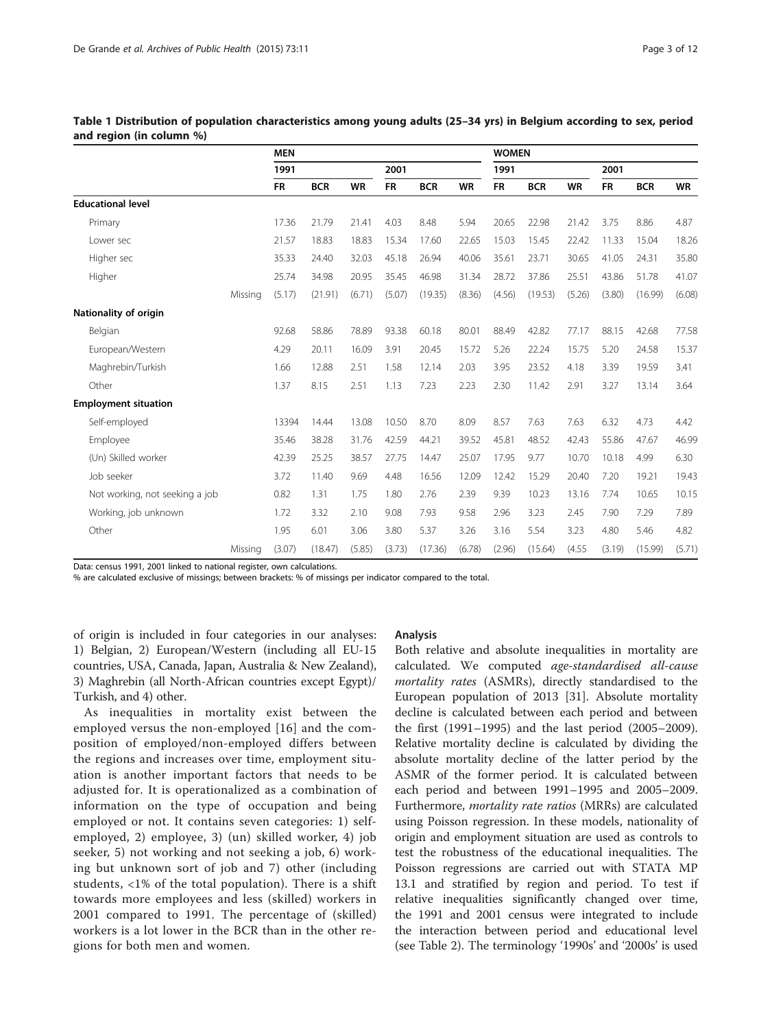|                                |         | <b>MEN</b> |            |           |           |            | <b>WOMEN</b> |           |            |           |           |            |           |
|--------------------------------|---------|------------|------------|-----------|-----------|------------|--------------|-----------|------------|-----------|-----------|------------|-----------|
|                                |         | 1991       |            |           | 2001      |            |              | 1991      |            |           | 2001      |            |           |
|                                |         | <b>FR</b>  | <b>BCR</b> | <b>WR</b> | <b>FR</b> | <b>BCR</b> | <b>WR</b>    | <b>FR</b> | <b>BCR</b> | <b>WR</b> | <b>FR</b> | <b>BCR</b> | <b>WR</b> |
| <b>Educational level</b>       |         |            |            |           |           |            |              |           |            |           |           |            |           |
| Primary                        |         | 17.36      | 21.79      | 21.41     | 4.03      | 8.48       | 5.94         | 20.65     | 22.98      | 21.42     | 3.75      | 8.86       | 4.87      |
| Lower sec                      |         | 21.57      | 18.83      | 18.83     | 15.34     | 17.60      | 22.65        | 15.03     | 15.45      | 22.42     | 11.33     | 15.04      | 18.26     |
| Higher sec                     |         | 35.33      | 24.40      | 32.03     | 45.18     | 26.94      | 40.06        | 35.61     | 23.71      | 30.65     | 41.05     | 24.31      | 35.80     |
| Higher                         |         | 25.74      | 34.98      | 20.95     | 35.45     | 46.98      | 31.34        | 28.72     | 37.86      | 25.51     | 43.86     | 51.78      | 41.07     |
|                                | Missing | (5.17)     | (21.91)    | (6.71)    | (5.07)    | (19.35)    | (8.36)       | (4.56)    | (19.53)    | (5.26)    | (3.80)    | (16.99)    | (6.08)    |
| Nationality of origin          |         |            |            |           |           |            |              |           |            |           |           |            |           |
| Belgian                        |         | 92.68      | 58.86      | 78.89     | 93.38     | 60.18      | 80.01        | 88.49     | 42.82      | 77.17     | 88.15     | 42.68      | 77.58     |
| European/Western               |         | 4.29       | 20.11      | 16.09     | 3.91      | 20.45      | 15.72        | 5.26      | 22.24      | 15.75     | 5.20      | 24.58      | 15.37     |
| Maghrebin/Turkish              |         | 1.66       | 12.88      | 2.51      | 1.58      | 12.14      | 2.03         | 3.95      | 23.52      | 4.18      | 3.39      | 19.59      | 3.41      |
| Other                          |         | 1.37       | 8.15       | 2.51      | 1.13      | 7.23       | 2.23         | 2.30      | 11.42      | 2.91      | 3.27      | 13.14      | 3.64      |
| <b>Employment situation</b>    |         |            |            |           |           |            |              |           |            |           |           |            |           |
| Self-employed                  |         | 13394      | 14.44      | 13.08     | 10.50     | 8.70       | 8.09         | 8.57      | 7.63       | 7.63      | 6.32      | 4.73       | 4.42      |
| Employee                       |         | 35.46      | 38.28      | 31.76     | 42.59     | 44.21      | 39.52        | 45.81     | 48.52      | 42.43     | 55.86     | 47.67      | 46.99     |
| (Un) Skilled worker            |         | 42.39      | 25.25      | 38.57     | 27.75     | 14.47      | 25.07        | 17.95     | 9.77       | 10.70     | 10.18     | 4.99       | 6.30      |
| Job seeker                     |         | 3.72       | 11.40      | 9.69      | 4.48      | 16.56      | 12.09        | 12.42     | 15.29      | 20.40     | 7.20      | 19.21      | 19.43     |
| Not working, not seeking a job |         | 0.82       | 1.31       | 1.75      | 1.80      | 2.76       | 2.39         | 9.39      | 10.23      | 13.16     | 7.74      | 10.65      | 10.15     |
| Working, job unknown           |         | 1.72       | 3.32       | 2.10      | 9.08      | 7.93       | 9.58         | 2.96      | 3.23       | 2.45      | 7.90      | 7.29       | 7.89      |
| Other                          |         | 1.95       | 6.01       | 3.06      | 3.80      | 5.37       | 3.26         | 3.16      | 5.54       | 3.23      | 4.80      | 5.46       | 4.82      |
|                                | Missing | (3.07)     | (18.47)    | (5.85)    | (3.73)    | (17.36)    | (6.78)       | (2.96)    | (15.64)    | (4.55)    | (3.19)    | (15.99)    | (5.71)    |

<span id="page-2-0"></span>

| Table 1 Distribution of population characteristics among young adults (25–34 yrs) in Belgium according to sex, period |  |  |  |  |
|-----------------------------------------------------------------------------------------------------------------------|--|--|--|--|
| and region (in column %)                                                                                              |  |  |  |  |

% are calculated exclusive of missings; between brackets: % of missings per indicator compared to the total.

of origin is included in four categories in our analyses: 1) Belgian, 2) European/Western (including all EU-15 countries, USA, Canada, Japan, Australia & New Zealand), 3) Maghrebin (all North-African countries except Egypt)/ Turkish, and 4) other.

As inequalities in mortality exist between the employed versus the non-employed [[16](#page-11-0)] and the composition of employed/non-employed differs between the regions and increases over time, employment situation is another important factors that needs to be adjusted for. It is operationalized as a combination of information on the type of occupation and being employed or not. It contains seven categories: 1) selfemployed, 2) employee, 3) (un) skilled worker, 4) job seeker, 5) not working and not seeking a job, 6) working but unknown sort of job and 7) other (including students, <1% of the total population). There is a shift towards more employees and less (skilled) workers in 2001 compared to 1991. The percentage of (skilled) workers is a lot lower in the BCR than in the other regions for both men and women.

## Analysis

Both relative and absolute inequalities in mortality are calculated. We computed age-standardised all-cause mortality rates (ASMRs), directly standardised to the European population of 2013 [\[31](#page-11-0)]. Absolute mortality decline is calculated between each period and between the first (1991–1995) and the last period (2005–2009). Relative mortality decline is calculated by dividing the absolute mortality decline of the latter period by the ASMR of the former period. It is calculated between each period and between 1991–1995 and 2005–2009. Furthermore, mortality rate ratios (MRRs) are calculated using Poisson regression. In these models, nationality of origin and employment situation are used as controls to test the robustness of the educational inequalities. The Poisson regressions are carried out with STATA MP 13.1 and stratified by region and period. To test if relative inequalities significantly changed over time, the 1991 and 2001 census were integrated to include the interaction between period and educational level (see Table [2\)](#page-3-0). The terminology '1990s' and '2000s' is used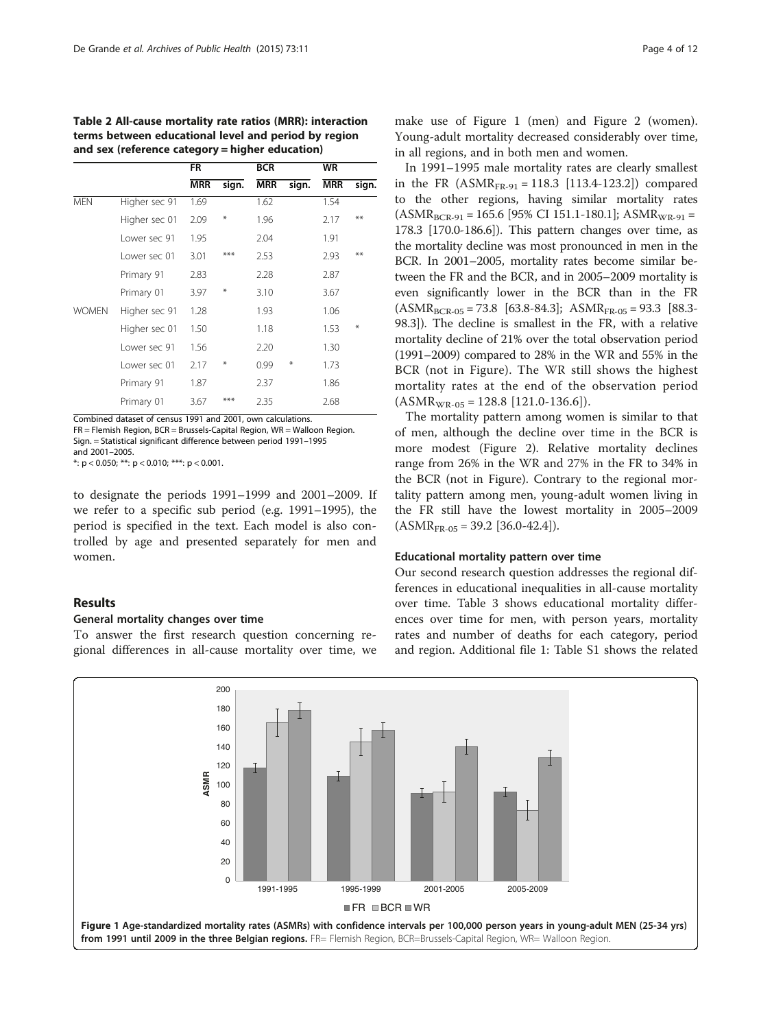<span id="page-3-0"></span>Table 2 All-cause mortality rate ratios (MRR): interaction terms between educational level and period by region and sex (reference category = higher education)

|              |               | <b>FR</b>  |       | <b>BCR</b> |        | <b>WR</b>  |       |  |
|--------------|---------------|------------|-------|------------|--------|------------|-------|--|
|              |               | <b>MRR</b> | sign. | <b>MRR</b> | sign.  | <b>MRR</b> | sign. |  |
| <b>MEN</b>   | Higher sec 91 | 1.69       |       | 1.62       |        | 1.54       |       |  |
|              | Higher sec 01 | 2.09       | ⋇     | 1.96       |        | 2.17       | **    |  |
|              | Lower sec 91  | 1.95       |       | 2.04       |        | 1.91       |       |  |
|              | Lower sec 01  | 3.01       | ***   | 2.53       |        | 2.93       | **    |  |
|              | Primary 91    | 2.83       |       | 2.28       |        | 2.87       |       |  |
|              | Primary 01    | 3.97       | ⋇     | 3.10       |        | 3.67       |       |  |
| <b>WOMEN</b> | Higher sec 91 | 1.28       |       | 1.93       |        | 1.06       |       |  |
|              | Higher sec 01 | 1.50       |       | 1.18       |        | 1.53       | ⋇     |  |
|              | Lower sec 91  | 1.56       |       | 2.20       |        | 1.30       |       |  |
|              | Lower sec 01  | 2.17       | ⋇     | 0.99       | $\ast$ | 1.73       |       |  |
|              | Primary 91    | 1.87       |       | 2.37       |        | 1.86       |       |  |
|              | Primary 01    | 3.67       | ***   | 2.35       |        | 2.68       |       |  |

Combined dataset of census 1991 and 2001, own calculations. FR = Flemish Region, BCR = Brussels-Capital Region, WR = Walloon Region. Sign. = Statistical significant difference between period 1991–1995 and 2001–2005.

 $*: p < 0.050; **: p < 0.010; **: p < 0.001.$ 

to designate the periods 1991–1999 and 2001–2009. If we refer to a specific sub period (e.g. 1991–1995), the period is specified in the text. Each model is also controlled by age and presented separately for men and women.

# Results

#### General mortality changes over time

To answer the first research question concerning regional differences in all-cause mortality over time, we

make use of Figure 1 (men) and Figure [2](#page-4-0) (women). Young-adult mortality decreased considerably over time, in all regions, and in both men and women.

In 1991–1995 male mortality rates are clearly smallest in the FR  $(ASMR_{FR-91} = 118.3$  [113.4-123.2]) compared to the other regions, having similar mortality rates  $(ASMR_{BCR-91} = 165.6$  [95% CI 151.1-180.1]; ASMR<sub>WR-91</sub> = 178.3 [170.0-186.6]). This pattern changes over time, as the mortality decline was most pronounced in men in the BCR. In 2001–2005, mortality rates become similar between the FR and the BCR, and in 2005–2009 mortality is even significantly lower in the BCR than in the FR  $(ASMR_{BCR-05} = 73.8 \; [63.8-84.3]; \; ASMR_{FR-0.5} = 93.3 \; [88.3-$ 98.3]). The decline is smallest in the FR, with a relative mortality decline of 21% over the total observation period (1991–2009) compared to 28% in the WR and 55% in the BCR (not in Figure). The WR still shows the highest mortality rates at the end of the observation period  $(ASMR_{WR-05} = 128.8 [121.0-136.6]).$ 

The mortality pattern among women is similar to that of men, although the decline over time in the BCR is more modest (Figure [2\)](#page-4-0). Relative mortality declines range from 26% in the WR and 27% in the FR to 34% in the BCR (not in Figure). Contrary to the regional mortality pattern among men, young-adult women living in the FR still have the lowest mortality in 2005–2009  $(ASMR_{FR-05} = 39.2 [36.0-42.4]).$ 

# Educational mortality pattern over time

Our second research question addresses the regional differences in educational inequalities in all-cause mortality over time. Table [3](#page-5-0) shows educational mortality differences over time for men, with person years, mortality rates and number of deaths for each category, period and region. Additional file [1:](#page-10-0) Table S1 shows the related

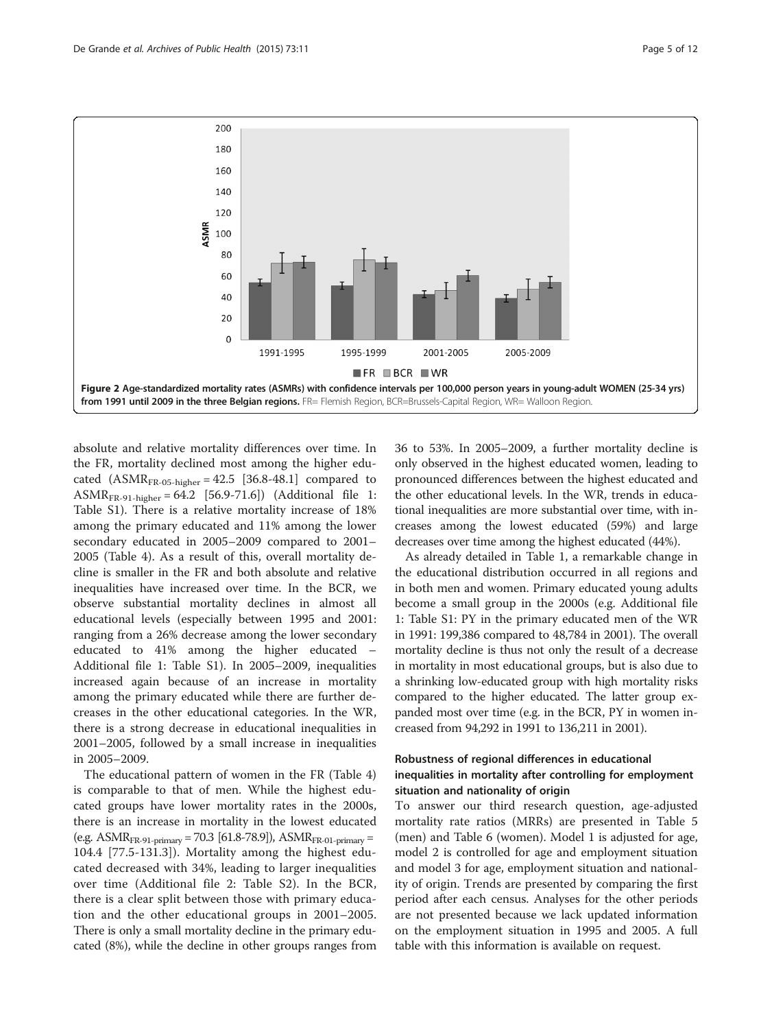<span id="page-4-0"></span>

absolute and relative mortality differences over time. In the FR, mortality declined most among the higher educated  $(ASMR_{FR-05-higher} = 42.5 [36.8-48.1] compared to$ ASMRFR-91-higher = 64.2 [56.9-71.6]) (Additional file [1](#page-10-0): Table S1). There is a relative mortality increase of 18% among the primary educated and 11% among the lower secondary educated in 2005–2009 compared to 2001– 2005 (Table [4](#page-6-0)). As a result of this, overall mortality decline is smaller in the FR and both absolute and relative inequalities have increased over time. In the BCR, we observe substantial mortality declines in almost all educational levels (especially between 1995 and 2001: ranging from a 26% decrease among the lower secondary educated to 41% among the higher educated – Additional file [1](#page-10-0): Table S1). In 2005–2009, inequalities increased again because of an increase in mortality among the primary educated while there are further decreases in the other educational categories. In the WR, there is a strong decrease in educational inequalities in 2001–2005, followed by a small increase in inequalities in 2005–2009.

The educational pattern of women in the FR (Table [4](#page-6-0)) is comparable to that of men. While the highest educated groups have lower mortality rates in the 2000s, there is an increase in mortality in the lowest educated (e.g.  $ASMR_{FR-91-primary} = 70.3$  [61.8-78.9]),  $ASMR_{FR-01-primary} =$ 104.4 [77.5-131.3]). Mortality among the highest educated decreased with 34%, leading to larger inequalities over time (Additional file [2:](#page-10-0) Table S2). In the BCR, there is a clear split between those with primary education and the other educational groups in 2001–2005. There is only a small mortality decline in the primary educated (8%), while the decline in other groups ranges from 36 to 53%. In 2005–2009, a further mortality decline is only observed in the highest educated women, leading to pronounced differences between the highest educated and the other educational levels. In the WR, trends in educational inequalities are more substantial over time, with increases among the lowest educated (59%) and large decreases over time among the highest educated (44%).

As already detailed in Table [1](#page-2-0), a remarkable change in the educational distribution occurred in all regions and in both men and women. Primary educated young adults become a small group in the 2000s (e.g. Additional file [1:](#page-10-0) Table S1: PY in the primary educated men of the WR in 1991: 199,386 compared to 48,784 in 2001). The overall mortality decline is thus not only the result of a decrease in mortality in most educational groups, but is also due to a shrinking low-educated group with high mortality risks compared to the higher educated. The latter group expanded most over time (e.g. in the BCR, PY in women increased from 94,292 in 1991 to 136,211 in 2001).

# Robustness of regional differences in educational inequalities in mortality after controlling for employment situation and nationality of origin

To answer our third research question, age-adjusted mortality rate ratios (MRRs) are presented in Table [5](#page-7-0) (men) and Table [6](#page-8-0) (women). Model 1 is adjusted for age, model 2 is controlled for age and employment situation and model 3 for age, employment situation and nationality of origin. Trends are presented by comparing the first period after each census. Analyses for the other periods are not presented because we lack updated information on the employment situation in 1995 and 2005. A full table with this information is available on request.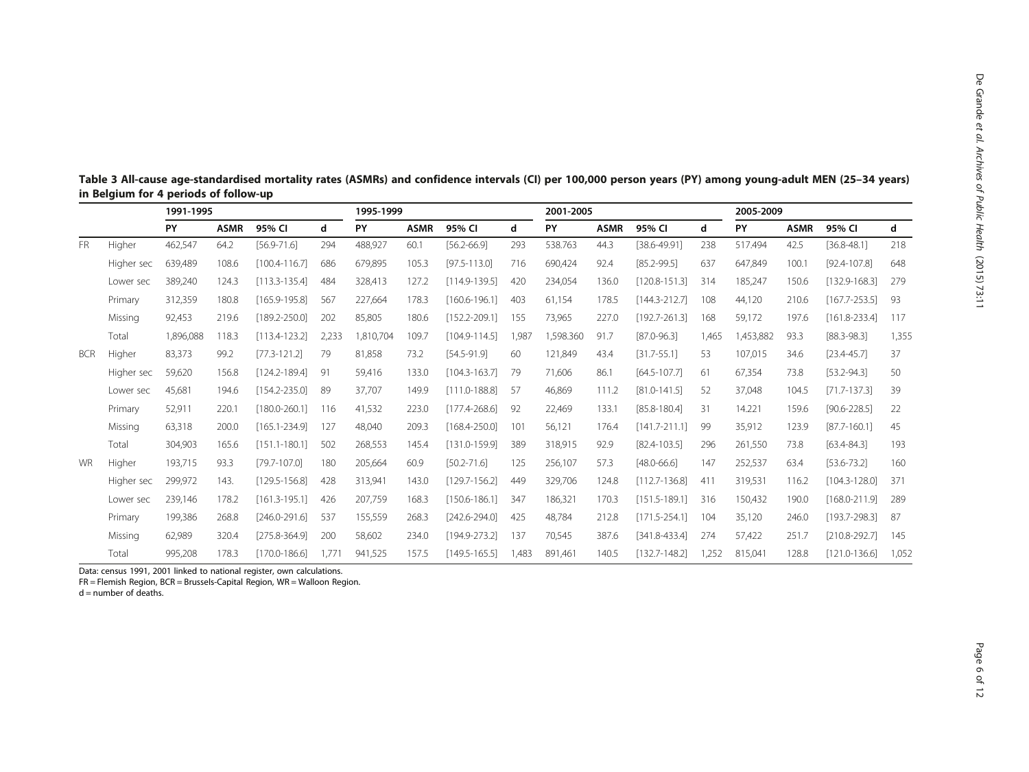|            |            | 1991-1995 |             |                   |       | 1995-1999 |             |                   | 2001-2005 |           |             |                   | 2005-2009 |           |             |                   |       |
|------------|------------|-----------|-------------|-------------------|-------|-----------|-------------|-------------------|-----------|-----------|-------------|-------------------|-----------|-----------|-------------|-------------------|-------|
|            |            | PY        | <b>ASMR</b> | 95% CI            | d     | PY        | <b>ASMR</b> | 95% CI            | d         | PY        | <b>ASMR</b> | 95% CI            | d         | PY        | <b>ASMR</b> | 95% CI            | d     |
| <b>FR</b>  | Higher     | 462,547   | 64.2        | $[56.9 - 71.6]$   | 294   | 488,927   | 60.1        | $[56.2 - 66.9]$   | 293       | 538.763   | 44.3        | $[38.6 - 49.91]$  | 238       | 517.494   | 42.5        | $[36.8 - 48.1]$   | 218   |
|            | Higher sec | 639.489   | 108.6       | $[100.4 - 116.7]$ | 686   | 679,895   | 105.3       | $[97.5 - 113.0]$  | 716       | 690,424   | 92.4        | $[85.2 - 99.5]$   | 637       | 647,849   | 100.1       | $[92.4 - 107.8]$  | 648   |
|            | Lower sec  | 389,240   | 124.3       | $[113.3 - 135.4]$ | 484   | 328,413   | 127.2       | [114.9-139.5]     | 420       | 234,054   | 136.0       | $[120.8 - 151.3]$ | 314       | 185,247   | 150.6       | [132.9-168.3]     | 279   |
|            | Primary    | 312,359   | 180.8       | $[165.9 - 195.8]$ | 567   | 227,664   | 178.3       | [160.6-196.1]     | 403       | 61,154    | 178.5       | $[144.3 - 212.7]$ | 108       | 44,120    | 210.6       | $[167.7 - 253.5]$ | 93    |
|            | Missing    | 92,453    | 219.6       | $[189.2 - 250.0]$ | 202   | 85,805    | 180.6       | $[152.2 - 209.1]$ | 155       | 73,965    | 227.0       | $[192.7 - 261.3]$ | 168       | 59,172    | 197.6       | $[161.8 - 233.4]$ | 117   |
|            | Total      | 1,896,088 | 118.3       | $[113.4 - 123.2]$ | 2,233 | 1,810,704 | 109.7       | $[104.9 - 114.5]$ | 1,987     | 1,598.360 | 91.7        | $[87.0 - 96.3]$   | 1,465     | 1,453,882 | 93.3        | $[88.3 - 98.3]$   | 1,355 |
| <b>BCR</b> | Higher     | 83,373    | 99.2        | $[77.3 - 121.2]$  | 79    | 81,858    | 73.2        | $[54.5 - 91.9]$   | 60        | 121,849   | 43.4        | $[31.7 - 55.1]$   | 53        | 107,015   | 34.6        | $[23.4 - 45.7]$   | 37    |
|            | Higher sec | 59,620    | 156.8       | $[124.2 - 189.4]$ | 91    | 59,416    | 133.0       | $[104.3 - 163.7]$ | 79        | 71,606    | 86.1        | $[64.5 - 107.7]$  | 61        | 67,354    | 73.8        | $[53.2 - 94.3]$   | 50    |
|            | Lower sec  | 45,681    | 194.6       | $[154.2 - 235.0]$ | 89    | 37,707    | 149.9       | $[111.0 - 188.8]$ | 57        | 46,869    | 111.2       | $[81.0 - 141.5]$  | 52        | 37,048    | 104.5       | $[71.7 - 137.3]$  | 39    |
|            | Primary    | 52.911    | 220.1       | $[180.0 - 260.1]$ | 116   | 41,532    | 223.0       | $[177.4 - 268.6]$ | 92        | 22,469    | 133.1       | $[85.8 - 180.4]$  | 31        | 14.221    | 159.6       | $[90.6 - 228.5]$  | 22    |
|            | Missing    | 63,318    | 200.0       | $[165.1 - 234.9]$ | 127   | 48,040    | 209.3       | $[168.4 - 250.0]$ | 101       | 56,121    | 176.4       | $[141.7 - 211.1]$ | 99        | 35,912    | 123.9       | $[87.7 - 160.1]$  | 45    |
|            | Total      | 304,903   | 165.6       | $[151.1 - 180.1]$ | 502   | 268,553   | 145.4       | $[131.0 - 159.9]$ | 389       | 318,915   | 92.9        | $[82.4 - 103.5]$  | 296       | 261,550   | 73.8        | $[63.4 - 84.3]$   | 193   |
| <b>WR</b>  | Higher     | 193,715   | 93.3        | $[79.7 - 107.0]$  | 180   | 205,664   | 60.9        | $[50.2 - 71.6]$   | 125       | 256,107   | 57.3        | $[48.0 - 66.6]$   | 147       | 252,537   | 63.4        | $[53.6 - 73.2]$   | 160   |
|            | Higher sec | 299,972   | 143.        | $[129.5 - 156.8]$ | 428   | 313,941   | 143.0       | $[129.7 - 156.2]$ | 449       | 329,706   | 124.8       | $[112.7 - 136.8]$ | 411       | 319,531   | 116.2       | $[104.3 - 128.0]$ | 371   |
|            | Lower sec  | 239,146   | 178.2       | $[161.3 - 195.1]$ | 426   | 207,759   | 168.3       | $[150.6 - 186.1]$ | 347       | 186,321   | 170.3       | $[151.5 - 189.1]$ | 316       | 150,432   | 190.0       | $[168.0 - 211.9]$ | 289   |
|            | Primary    | 199,386   | 268.8       | $[246.0 - 291.6]$ | 537   | 155,559   | 268.3       | $[242.6 - 294.0]$ | 425       | 48,784    | 212.8       | $[171.5 - 254.1]$ | 104       | 35,120    | 246.0       | $[193.7 - 298.3]$ | 87    |
|            | Missing    | 62,989    | 320.4       | $[275.8 - 364.9]$ | 200   | 58,602    | 234.0       | $[194.9 - 273.2]$ | 137       | 70,545    | 387.6       | $[341.8 - 433.4]$ | 274       | 57,422    | 251.7       | $[210.8 - 292.7]$ | 145   |
|            | Total      | 995,208   | 178.3       | $[170.0 - 186.6]$ | 1.771 | 941,525   | 157.5       | $[149.5 - 165.5]$ | 1.483     | 891,461   | 140.5       | $[132.7 - 148.2]$ | 1,252     | 815,041   | 128.8       | $[121.0 - 136.6]$ | 1,052 |

<span id="page-5-0"></span>Table 3 All-cause age-standardised mortality rates (ASMRs) and confidence intervals (CI) per 100,000 person years (PY) among young-adult MEN (25–34 years) in Belgium for 4 periods of follow-up

FR = Flemish Region, BCR = Brussels-Capital Region, WR = Walloon Region.

 $d =$  number of deaths.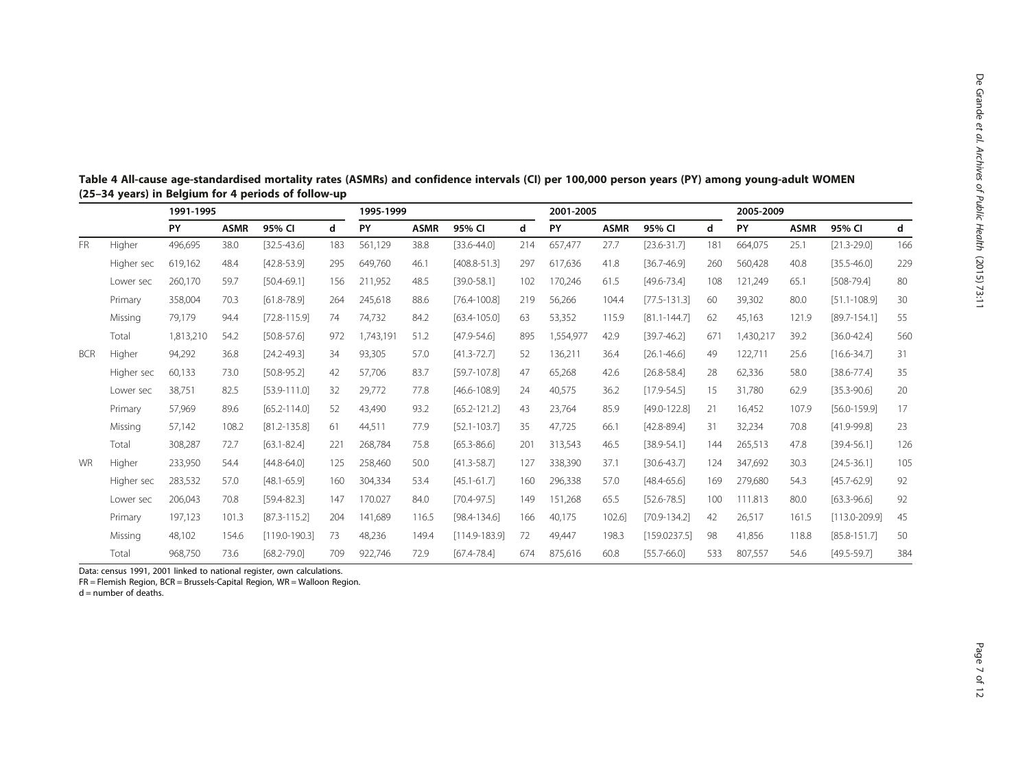|            |            | 1991-1995 |             |                  |     | 1995-1999 |             |                  |     | 2001-2005 |             |                  |     | 2005-2009 |             |                  |     |
|------------|------------|-----------|-------------|------------------|-----|-----------|-------------|------------------|-----|-----------|-------------|------------------|-----|-----------|-------------|------------------|-----|
|            |            | PY        | <b>ASMR</b> | 95% CI           | d   | PY        | <b>ASMR</b> | 95% CI           | d   | PY        | <b>ASMR</b> | 95% CI           | d   | PY        | <b>ASMR</b> | 95% CI           | d   |
| <b>FR</b>  | Higher     | 496,695   | 38.0        | $[32.5 - 43.6]$  | 183 | 561,129   | 38.8        | $[33.6 - 44.0]$  | 214 | 657,477   | 27.7        | $[23.6 - 31.7]$  | 181 | 664,075   | 25.1        | $[21.3 - 29.0]$  | 166 |
|            | Higher sec | 619,162   | 48.4        | $[42.8 - 53.9]$  | 295 | 649,760   | 46.1        | $[408.8 - 51.3]$ | 297 | 617,636   | 41.8        | $[36.7 - 46.9]$  | 260 | 560,428   | 40.8        | $[35.5 - 46.0]$  | 229 |
|            | Lower sec  | 260,170   | 59.7        | $[50.4 - 69.1]$  | 156 | 211,952   | 48.5        | $[39.0 - 58.1]$  | 102 | 170,246   | 61.5        | $[49.6 - 73.4]$  | 108 | 121,249   | 65.1        | $[508 - 79.4]$   | 80  |
|            | Primary    | 358,004   | 70.3        | $[61.8 - 78.9]$  | 264 | 245,618   | 88.6        | $[76.4 - 100.8]$ | 219 | 56,266    | 104.4       | $[77.5 - 131.3]$ | 60  | 39,302    | 80.0        | $[51.1 - 108.9]$ | 30  |
|            | Missing    | 79,179    | 94.4        | $[72.8 - 115.9]$ | 74  | 74,732    | 84.2        | $[63.4 - 105.0]$ | 63  | 53,352    | 115.9       | $[81.1 - 144.7]$ | 62  | 45,163    | 121.9       | $[89.7 - 154.1]$ | 55  |
|            | Total      | 1,813,210 | 54.2        | $[50.8 - 57.6]$  | 972 | 1,743,191 | 51.2        | $[47.9 - 54.6]$  | 895 | 1,554,977 | 42.9        | $[39.7 - 46.2]$  | 671 | 1,430,217 | 39.2        | $[36.0 - 42.4]$  | 560 |
| <b>BCR</b> | Higher     | 94,292    | 36.8        | $[24.2 - 49.3]$  | 34  | 93,305    | 57.0        | $[41.3 - 72.7]$  | 52  | 136,211   | 36.4        | $[26.1 - 46.6]$  | 49  | 122,711   | 25.6        | $[16.6 - 34.7]$  | 31  |
|            | Higher sec | 60,133    | 73.0        | $[50.8 - 95.2]$  | 42  | 57,706    | 83.7        | $[59.7 - 107.8]$ | 47  | 65,268    | 42.6        | $[26.8 - 58.4]$  | 28  | 62,336    | 58.0        | $[38.6 - 77.4]$  | 35  |
|            | Lower sec  | 38,751    | 82.5        | $[53.9 - 111.0]$ | 32  | 29,772    | 77.8        | $[46.6 - 108.9]$ | 24  | 40,575    | 36.2        | $[17.9 - 54.5]$  | 15  | 31,780    | 62.9        | $[35.3 - 90.6]$  | 20  |
|            | Primary    | 57,969    | 89.6        | $[65.2 - 114.0]$ | 52  | 43,490    | 93.2        | $[65.2 - 121.2]$ | 43  | 23,764    | 85.9        | $[49.0 - 122.8]$ | 21  | 16,452    | 107.9       | $[56.0 - 159.9]$ | 17  |
|            | Missing    | 57,142    | 108.2       | $[81.2 - 135.8]$ | 61  | 44,511    | 77.9        | $[52.1 - 103.7]$ | 35  | 47,725    | 66.1        | $[42.8 - 89.4]$  | 31  | 32,234    | 70.8        | $[41.9 - 99.8]$  | 23  |
|            | Total      | 308,287   | 72.7        | $[63.1 - 82.4]$  | 221 | 268,784   | 75.8        | $[65.3 - 86.6]$  | 201 | 313,543   | 46.5        | $[38.9 - 54.1]$  | 144 | 265,513   | 47.8        | $[39.4 - 56.1]$  | 126 |
| WR         | Higher     | 233,950   | 54.4        | $[44.8 - 64.0]$  | 125 | 258,460   | 50.0        | $[41.3 - 58.7]$  | 127 | 338,390   | 37.1        | $[30.6 - 43.7]$  | 124 | 347,692   | 30.3        | $[24.5 - 36.1]$  | 105 |
|            | Higher sec | 283,532   | 57.0        | $[48.1 - 65.9]$  | 160 | 304,334   | 53.4        | $[45.1 - 61.7]$  | 160 | 296,338   | 57.0        | $[48.4 - 65.6]$  | 169 | 279,680   | 54.3        | $[45.7 - 62.9]$  | 92  |
|            | Lower sec  | 206,043   | 70.8        | $[59.4 - 82.3]$  | 147 | 170.027   | 84.0        | $[70.4 - 97.5]$  | 149 | 151,268   | 65.5        | $[52.6 - 78.5]$  | 100 | 111.813   | 80.0        | $[63.3 - 96.6]$  | 92  |

<span id="page-6-0"></span>Table 4 All-cause age-standardised mortality rates (ASMRs) and confidence intervals (CI) per 100,000 person years (PY) among young-adult WOMEN (25–34 years) in Belgium for 4 periods of

Primary 197,123 101.3 [87.3-115.2] 204 141,689 116.5 [98.4-134.6] 166 40,175 102.6] [70.9-134.2] 42 26,517 161.5 [113.0-209.9] 45 Missing 48,102 154.6 [119.0-190.3] 73 48,236 149.4 [114.9-183.9] 72 49,447 198.3 [159.0237.5] 98 41,856 118.8 [85.8-151.7] 50 Total 968,750 73.6 [68.2-79.0] 709 922,746 72.9 [67.4-78.4] 674 875,616 60.8 [55.7-66.0] 533 807,557 54.6 [49.5-59.7] 384

Data: census 1991, 2001 linked to national register, own calculations.

FR = Flemish Region, BCR = Brussels-Capital Region, WR = Walloon Region.

 $d =$  number of deaths.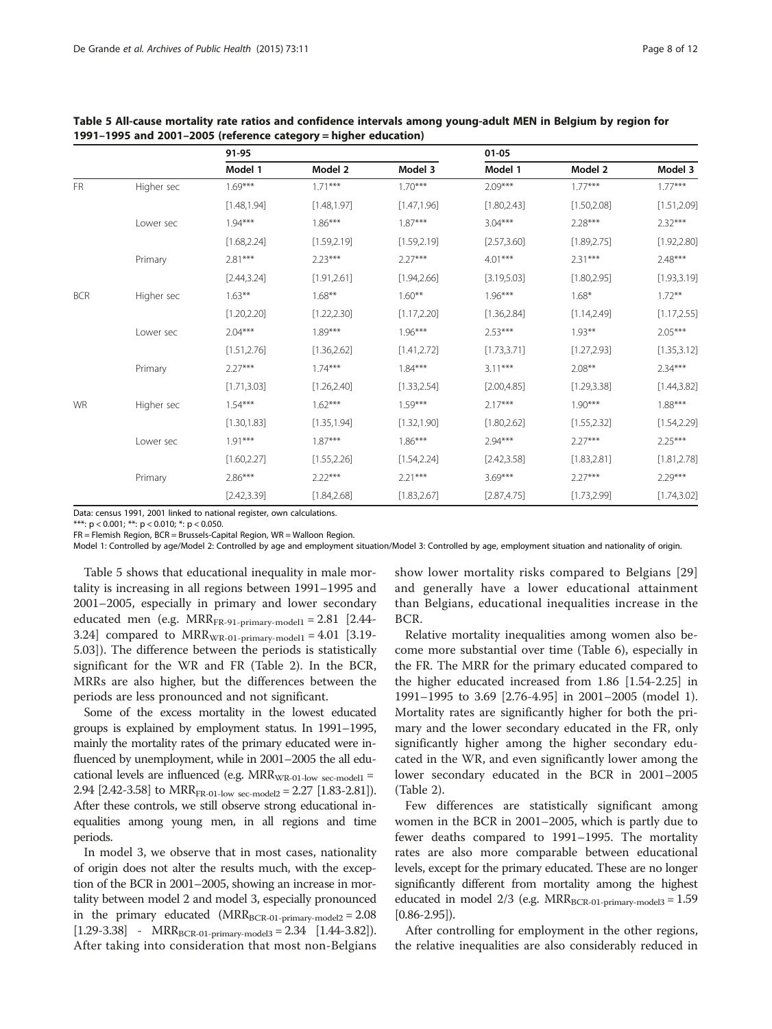|            |            | 91-95        |              |              | $01 - 05$    |              |              |  |  |  |
|------------|------------|--------------|--------------|--------------|--------------|--------------|--------------|--|--|--|
|            |            | Model 1      | Model 2      | Model 3      | Model 1      | Model 2      | Model 3      |  |  |  |
| <b>FR</b>  | Higher sec | $1.69***$    | $1.71***$    | $1.70***$    | $2.09***$    | $1.77***$    | $1.77***$    |  |  |  |
|            |            | [1.48, 1.94] | [1.48, 1.97] | [1.47, 1.96] | [1.80, 2.43] | [1.50, 2.08] | [1.51, 2.09] |  |  |  |
|            | Lower sec  | $1.94***$    | $1.86***$    | $1.87***$    | $3.04***$    | $2.28***$    | $2.32***$    |  |  |  |
|            |            | [1.68, 2.24] | [1.59, 2.19] | [1.59, 2.19] | [2.57, 3.60] | [1.89, 2.75] | [1.92, 2.80] |  |  |  |
|            | Primary    | $2.81***$    | $2.23***$    | $2.27***$    | $4.01***$    | $2.31***$    | $2.48***$    |  |  |  |
|            |            | [2.44, 3.24] | [1.91, 2.61] | [1.94, 2.66] | [3.19, 5.03] | [1.80, 2.95] | [1.93, 3.19] |  |  |  |
| <b>BCR</b> | Higher sec | $1.63***$    | $1.68***$    | $1.60***$    | $1.96***$    | $1.68*$      | $1.72***$    |  |  |  |
|            |            | [1.20, 2.20] | [1.22, 2.30] | [1.17, 2.20] | [1.36, 2.84] | [1.14, 2.49] | [1.17, 2.55] |  |  |  |
|            | Lower sec  | $2.04***$    | $1.89***$    | $1.96***$    | $2.53***$    | $1.93***$    | $2.05***$    |  |  |  |
|            |            | [1.51, 2.76] | [1.36, 2.62] | [1.41, 2.72] | [1.73, 3.71] | [1.27, 2.93] | [1.35, 3.12] |  |  |  |
|            | Primary    | $2.27***$    | $1.74***$    | $1.84***$    | $3.11***$    | $2.08***$    | $2.34***$    |  |  |  |
|            |            | [1.71, 3.03] | [1.26, 2.40] | [1.33, 2.54] | [2.00, 4.85] | [1.29, 3.38] | [1.44, 3.82] |  |  |  |
| <b>WR</b>  | Higher sec | $1.54***$    | $1.62***$    | $1.59***$    | $2.17***$    | $1.90***$    | $1.88***$    |  |  |  |
|            |            | [1.30, 1.83] | [1.35, 1.94] | [1.32, 1.90] | [1.80, 2.62] | [1.55, 2.32] | [1.54, 2.29] |  |  |  |
|            | Lower sec  | $1.91***$    | $1.87***$    | $1.86***$    | $2.94***$    | $2.27***$    | $2.25***$    |  |  |  |
|            |            | [1.60, 2.27] | [1.55, 2.26] | [1.54, 2.24] | [2.42, 3.58] | [1.83, 2.81] | [1.81, 2.78] |  |  |  |
|            | Primary    | $2.86***$    | $2.22***$    | $2.21***$    | $3.69***$    | $2.27***$    | $2.29***$    |  |  |  |
|            |            | [2.42, 3.39] | [1.84, 2.68] | [1.83, 2.67] | [2.87, 4.75] | [1.73, 2.99] | [1.74, 3.02] |  |  |  |

<span id="page-7-0"></span>Table 5 All-cause mortality rate ratios and confidence intervals among young-adult MEN in Belgium by region for 1991–1995 and 2001–2005 (reference category = higher education)

\*\*\*:  $p < 0.001$ ; \*\*:  $p < 0.010$ ; \*:  $p < 0.050$ .

FR = Flemish Region, BCR = Brussels-Capital Region, WR = Walloon Region.

Model 1: Controlled by age/Model 2: Controlled by age and employment situation/Model 3: Controlled by age, employment situation and nationality of origin.

Table 5 shows that educational inequality in male mortality is increasing in all regions between 1991–1995 and 2001–2005, especially in primary and lower secondary educated men (e.g.  $MRR_{FR-91-primary-model1} = 2.81$  [2.44-3.24] compared to  $MRR_{WR-01-primary-model1} = 4.01$  [3.19-5.03]). The difference between the periods is statistically significant for the WR and FR (Table [2](#page-3-0)). In the BCR, MRRs are also higher, but the differences between the periods are less pronounced and not significant.

Some of the excess mortality in the lowest educated groups is explained by employment status. In 1991–1995, mainly the mortality rates of the primary educated were influenced by unemployment, while in 2001–2005 the all educational levels are influenced (e.g.  $MRR_{\rm WR-01-low\ sec-model}$  = 2.94  $[2.42-3.58]$  to MRR<sub>FR-01-low sec-model2</sub> = 2.27  $[1.83-2.81]$ ). After these controls, we still observe strong educational inequalities among young men, in all regions and time periods.

In model 3, we observe that in most cases, nationality of origin does not alter the results much, with the exception of the BCR in 2001–2005, showing an increase in mortality between model 2 and model 3, especially pronounced in the primary educated  $(MRR_{BCR-01-primary-model2} = 2.08$  $[1.29-3.38]$  - MRR<sub>BCR-01-primary-model3</sub> = 2.34  $[1.44-3.82]$ ). After taking into consideration that most non-Belgians show lower mortality risks compared to Belgians [\[29](#page-11-0)] and generally have a lower educational attainment than Belgians, educational inequalities increase in the BCR.

Relative mortality inequalities among women also become more substantial over time (Table [6](#page-8-0)), especially in the FR. The MRR for the primary educated compared to the higher educated increased from 1.86 [1.54-2.25] in 1991–1995 to 3.69 [2.76-4.95] in 2001–2005 (model 1). Mortality rates are significantly higher for both the primary and the lower secondary educated in the FR, only significantly higher among the higher secondary educated in the WR, and even significantly lower among the lower secondary educated in the BCR in 2001–2005 (Table [2\)](#page-3-0).

Few differences are statistically significant among women in the BCR in 2001–2005, which is partly due to fewer deaths compared to 1991–1995. The mortality rates are also more comparable between educational levels, except for the primary educated. These are no longer significantly different from mortality among the highest educated in model  $2/3$  (e.g. MRR<sub>BCR-01-primary-model3</sub> =  $1.59$ )  $[0.86 - 2.95]$ ).

After controlling for employment in the other regions, the relative inequalities are also considerably reduced in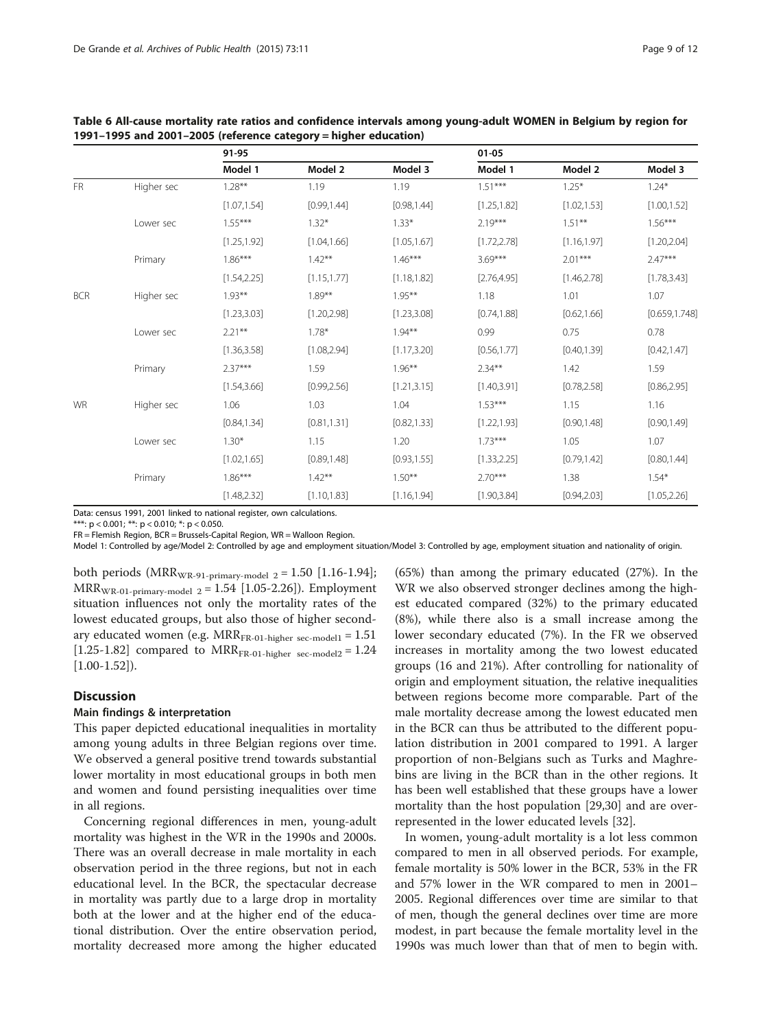|            |            | 91-95        |              |              | $01 - 05$    |              |                |  |  |  |
|------------|------------|--------------|--------------|--------------|--------------|--------------|----------------|--|--|--|
|            |            | Model 1      | Model 2      | Model 3      | Model 1      | Model 2      | Model 3        |  |  |  |
| <b>FR</b>  | Higher sec | $1.28**$     | 1.19         | 1.19         | $1.51***$    | $1.25*$      | $1.24*$        |  |  |  |
|            |            | [1.07, 1.54] | [0.99, 1.44] | [0.98, 1.44] | [1.25, 1.82] | [1.02, 1.53] | [1.00, 1.52]   |  |  |  |
|            | Lower sec  | $1.55***$    | $1.32*$      | $1.33*$      | $2.19***$    | $1.51***$    | $1.56***$      |  |  |  |
|            |            | [1.25, 1.92] | [1.04, 1.66] | [1.05, 1.67] | [1.72, 2.78] | [1.16, 1.97] | [1.20, 2.04]   |  |  |  |
|            | Primary    | $1.86***$    | $1.42***$    | $1.46***$    | $3.69***$    | $2.01***$    | $2.47***$      |  |  |  |
|            |            | [1.54, 2.25] | [1.15, 1.77] | [1.18, 1.82] | [2.76, 4.95] | [1.46, 2.78] | [1.78, 3.43]   |  |  |  |
| <b>BCR</b> | Higher sec | $1.93***$    | $1.89***$    | $1.95***$    | 1.18         | 1.01         | 1.07           |  |  |  |
|            |            | [1.23, 3.03] | [1.20, 2.98] | [1.23, 3.08] | [0.74, 1.88] | [0.62, 1.66] | [0.659, 1.748] |  |  |  |
|            | Lower sec  | $2.21***$    | $1.78*$      | $1.94***$    | 0.99         | 0.75         | 0.78           |  |  |  |
|            |            | [1.36, 3.58] | [1.08, 2.94] | [1.17, 3.20] | [0.56, 1.77] | [0.40, 1.39] | [0.42, 1.47]   |  |  |  |
|            | Primary    | $2.37***$    | 1.59         | $1.96***$    | $2.34***$    | 1.42         | 1.59           |  |  |  |
|            |            | [1.54, 3.66] | [0.99, 2.56] | [1.21, 3.15] | [1.40, 3.91] | [0.78, 2.58] | [0.86, 2.95]   |  |  |  |
| <b>WR</b>  | Higher sec | 1.06         | 1.03         | 1.04         | $1.53***$    | 1.15         | 1.16           |  |  |  |
|            |            | [0.84, 1.34] | [0.81, 1.31] | [0.82, 1.33] | [1.22, 1.93] | [0.90, 1.48] | [0.90, 1.49]   |  |  |  |
|            | Lower sec  | $1.30*$      | 1.15         | 1.20         | $1.73***$    | 1.05         | 1.07           |  |  |  |
|            |            | [1.02, 1.65] | [0.89, 1.48] | [0.93, 1.55] | [1.33, 2.25] | [0.79, 1.42] | [0.80, 1.44]   |  |  |  |
|            | Primary    | $1.86***$    | $1.42***$    | $1.50**$     | $2.70***$    | 1.38         | $1.54*$        |  |  |  |
|            |            | [1.48, 2.32] | [1.10, 1.83] | [1.16, 1.94] | [1.90, 3.84] | [0.94, 2.03] | [1.05, 2.26]   |  |  |  |

<span id="page-8-0"></span>Table 6 All-cause mortality rate ratios and confidence intervals among young-adult WOMEN in Belgium by region for 1991–1995 and 2001–2005 (reference category = higher education)

\*\*\*: p < 0.001; \*\*: p < 0.010; \*: p < 0.050.

FR = Flemish Region, BCR = Brussels-Capital Region, WR = Walloon Region.

Model 1: Controlled by age/Model 2: Controlled by age and employment situation/Model 3: Controlled by age, employment situation and nationality of origin.

both periods ( $MRR_{WR-91-primary-model}$   $2 = 1.50$  [1.16-1.94];  $MRR_{WR-01-primary-model 2} = 1.54 [1.05-2.26]$ . Employment situation influences not only the mortality rates of the lowest educated groups, but also those of higher secondary educated women (e.g.  $MRR_{FR-01-higher sec-model1} = 1.51$ [1.25-1.82] compared to  $MRR_{FR-01-higher sec-model2} = 1.24$  $[1.00-1.52]$ ).

# **Discussion**

## Main findings & interpretation

This paper depicted educational inequalities in mortality among young adults in three Belgian regions over time. We observed a general positive trend towards substantial lower mortality in most educational groups in both men and women and found persisting inequalities over time in all regions.

Concerning regional differences in men, young-adult mortality was highest in the WR in the 1990s and 2000s. There was an overall decrease in male mortality in each observation period in the three regions, but not in each educational level. In the BCR, the spectacular decrease in mortality was partly due to a large drop in mortality both at the lower and at the higher end of the educational distribution. Over the entire observation period, mortality decreased more among the higher educated

(65%) than among the primary educated (27%). In the WR we also observed stronger declines among the highest educated compared (32%) to the primary educated (8%), while there also is a small increase among the lower secondary educated (7%). In the FR we observed increases in mortality among the two lowest educated groups (16 and 21%). After controlling for nationality of origin and employment situation, the relative inequalities between regions become more comparable. Part of the male mortality decrease among the lowest educated men in the BCR can thus be attributed to the different population distribution in 2001 compared to 1991. A larger proportion of non-Belgians such as Turks and Maghrebins are living in the BCR than in the other regions. It has been well established that these groups have a lower mortality than the host population [[29,30\]](#page-11-0) and are overrepresented in the lower educated levels [[32](#page-11-0)].

In women, young-adult mortality is a lot less common compared to men in all observed periods. For example, female mortality is 50% lower in the BCR, 53% in the FR and 57% lower in the WR compared to men in 2001– 2005. Regional differences over time are similar to that of men, though the general declines over time are more modest, in part because the female mortality level in the 1990s was much lower than that of men to begin with.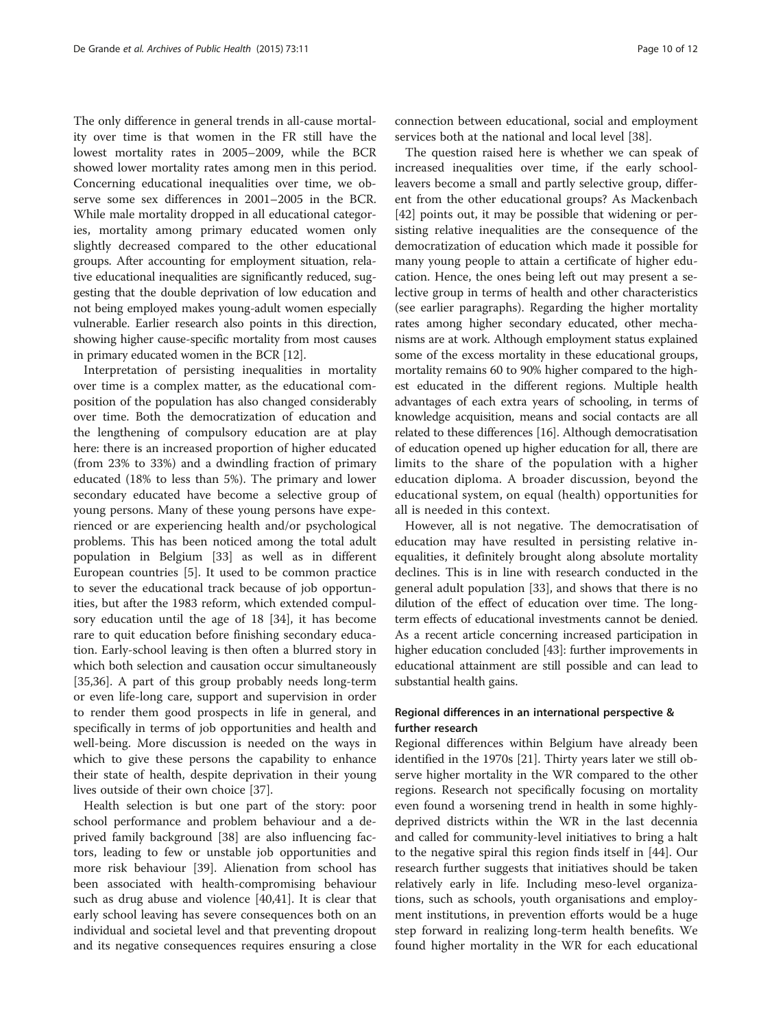The only difference in general trends in all-cause mortality over time is that women in the FR still have the lowest mortality rates in 2005–2009, while the BCR showed lower mortality rates among men in this period. Concerning educational inequalities over time, we observe some sex differences in 2001–2005 in the BCR. While male mortality dropped in all educational categories, mortality among primary educated women only slightly decreased compared to the other educational groups. After accounting for employment situation, relative educational inequalities are significantly reduced, suggesting that the double deprivation of low education and not being employed makes young-adult women especially vulnerable. Earlier research also points in this direction, showing higher cause-specific mortality from most causes in primary educated women in the BCR [\[12](#page-11-0)].

Interpretation of persisting inequalities in mortality over time is a complex matter, as the educational composition of the population has also changed considerably over time. Both the democratization of education and the lengthening of compulsory education are at play here: there is an increased proportion of higher educated (from 23% to 33%) and a dwindling fraction of primary educated (18% to less than 5%). The primary and lower secondary educated have become a selective group of young persons. Many of these young persons have experienced or are experiencing health and/or psychological problems. This has been noticed among the total adult population in Belgium [[33](#page-11-0)] as well as in different European countries [[5\]](#page-11-0). It used to be common practice to sever the educational track because of job opportunities, but after the 1983 reform, which extended compulsory education until the age of 18 [\[34\]](#page-11-0), it has become rare to quit education before finishing secondary education. Early-school leaving is then often a blurred story in which both selection and causation occur simultaneously [[35,36\]](#page-11-0). A part of this group probably needs long-term or even life-long care, support and supervision in order to render them good prospects in life in general, and specifically in terms of job opportunities and health and well-being. More discussion is needed on the ways in which to give these persons the capability to enhance their state of health, despite deprivation in their young lives outside of their own choice [[37](#page-11-0)].

Health selection is but one part of the story: poor school performance and problem behaviour and a deprived family background [\[38](#page-11-0)] are also influencing factors, leading to few or unstable job opportunities and more risk behaviour [\[39](#page-11-0)]. Alienation from school has been associated with health-compromising behaviour such as drug abuse and violence [\[40,41\]](#page-11-0). It is clear that early school leaving has severe consequences both on an individual and societal level and that preventing dropout and its negative consequences requires ensuring a close

connection between educational, social and employment services both at the national and local level [[38\]](#page-11-0).

The question raised here is whether we can speak of increased inequalities over time, if the early schoolleavers become a small and partly selective group, different from the other educational groups? As Mackenbach [[42\]](#page-11-0) points out, it may be possible that widening or persisting relative inequalities are the consequence of the democratization of education which made it possible for many young people to attain a certificate of higher education. Hence, the ones being left out may present a selective group in terms of health and other characteristics (see earlier paragraphs). Regarding the higher mortality rates among higher secondary educated, other mechanisms are at work. Although employment status explained some of the excess mortality in these educational groups, mortality remains 60 to 90% higher compared to the highest educated in the different regions. Multiple health advantages of each extra years of schooling, in terms of knowledge acquisition, means and social contacts are all related to these differences [[16](#page-11-0)]. Although democratisation of education opened up higher education for all, there are limits to the share of the population with a higher education diploma. A broader discussion, beyond the educational system, on equal (health) opportunities for all is needed in this context.

However, all is not negative. The democratisation of education may have resulted in persisting relative inequalities, it definitely brought along absolute mortality declines. This is in line with research conducted in the general adult population [\[33](#page-11-0)], and shows that there is no dilution of the effect of education over time. The longterm effects of educational investments cannot be denied. As a recent article concerning increased participation in higher education concluded [\[43\]](#page-11-0): further improvements in educational attainment are still possible and can lead to substantial health gains.

# Regional differences in an international perspective & further research

Regional differences within Belgium have already been identified in the 1970s [\[21\]](#page-11-0). Thirty years later we still observe higher mortality in the WR compared to the other regions. Research not specifically focusing on mortality even found a worsening trend in health in some highlydeprived districts within the WR in the last decennia and called for community-level initiatives to bring a halt to the negative spiral this region finds itself in [\[44](#page-11-0)]. Our research further suggests that initiatives should be taken relatively early in life. Including meso-level organizations, such as schools, youth organisations and employment institutions, in prevention efforts would be a huge step forward in realizing long-term health benefits. We found higher mortality in the WR for each educational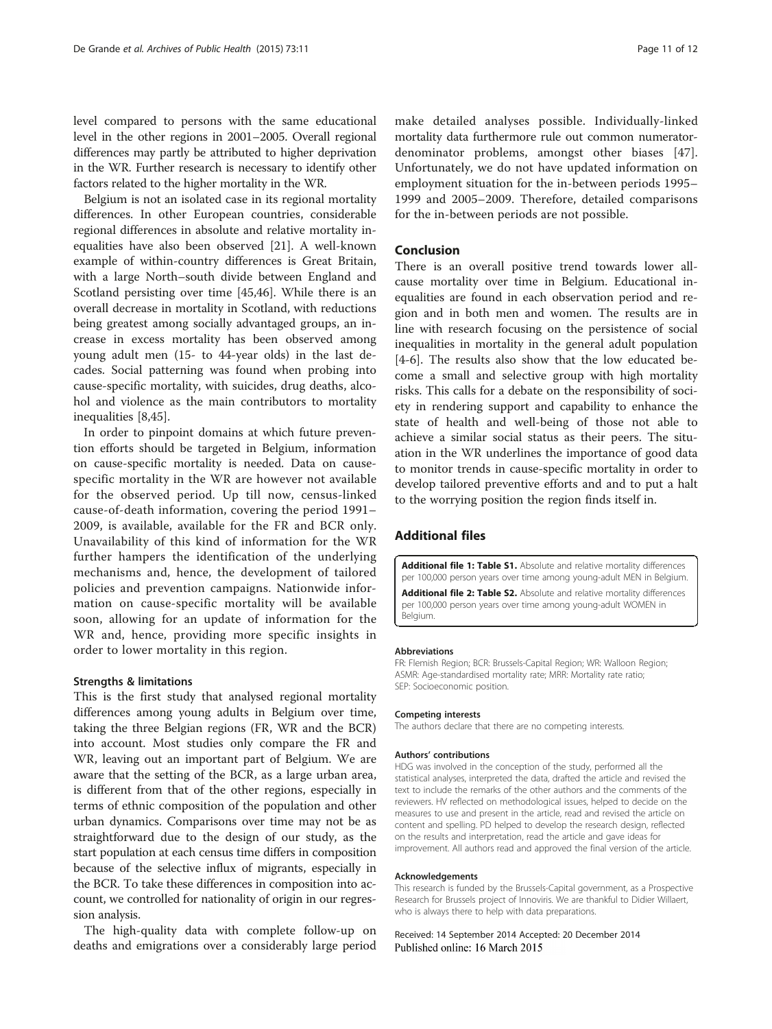<span id="page-10-0"></span>level compared to persons with the same educational level in the other regions in 2001–2005. Overall regional differences may partly be attributed to higher deprivation in the WR. Further research is necessary to identify other factors related to the higher mortality in the WR.

Belgium is not an isolated case in its regional mortality differences. In other European countries, considerable regional differences in absolute and relative mortality inequalities have also been observed [[21](#page-11-0)]. A well-known example of within-country differences is Great Britain, with a large North–south divide between England and Scotland persisting over time [\[45,46\]](#page-11-0). While there is an overall decrease in mortality in Scotland, with reductions being greatest among socially advantaged groups, an increase in excess mortality has been observed among young adult men (15- to 44-year olds) in the last decades. Social patterning was found when probing into cause-specific mortality, with suicides, drug deaths, alcohol and violence as the main contributors to mortality inequalities [\[8,45\]](#page-11-0).

In order to pinpoint domains at which future prevention efforts should be targeted in Belgium, information on cause-specific mortality is needed. Data on causespecific mortality in the WR are however not available for the observed period. Up till now, census-linked cause-of-death information, covering the period 1991– 2009, is available, available for the FR and BCR only. Unavailability of this kind of information for the WR further hampers the identification of the underlying mechanisms and, hence, the development of tailored policies and prevention campaigns. Nationwide information on cause-specific mortality will be available soon, allowing for an update of information for the WR and, hence, providing more specific insights in order to lower mortality in this region.

## Strengths & limitations

This is the first study that analysed regional mortality differences among young adults in Belgium over time, taking the three Belgian regions (FR, WR and the BCR) into account. Most studies only compare the FR and WR, leaving out an important part of Belgium. We are aware that the setting of the BCR, as a large urban area, is different from that of the other regions, especially in terms of ethnic composition of the population and other urban dynamics. Comparisons over time may not be as straightforward due to the design of our study, as the start population at each census time differs in composition because of the selective influx of migrants, especially in the BCR. To take these differences in composition into account, we controlled for nationality of origin in our regression analysis.

The high-quality data with complete follow-up on deaths and emigrations over a considerably large period make detailed analyses possible. Individually-linked mortality data furthermore rule out common numeratordenominator problems, amongst other biases [[47](#page-11-0)]. Unfortunately, we do not have updated information on employment situation for the in-between periods 1995– 1999 and 2005–2009. Therefore, detailed comparisons for the in-between periods are not possible.

## Conclusion

There is an overall positive trend towards lower allcause mortality over time in Belgium. Educational inequalities are found in each observation period and region and in both men and women. The results are in line with research focusing on the persistence of social inequalities in mortality in the general adult population [[4-6](#page-11-0)]. The results also show that the low educated become a small and selective group with high mortality risks. This calls for a debate on the responsibility of society in rendering support and capability to enhance the state of health and well-being of those not able to achieve a similar social status as their peers. The situation in the WR underlines the importance of good data to monitor trends in cause-specific mortality in order to develop tailored preventive efforts and and to put a halt to the worrying position the region finds itself in.

# Additional files

[Additional file 1: Table S1.](http://www.archpublichealth.com/content/supplementary/s13690-014-0059-3-s1.doc) Absolute and relative mortality differences per 100,000 person years over time among young-adult MEN in Belgium. [Additional file 2: Table S2.](http://www.archpublichealth.com/content/supplementary/s13690-014-0059-3-s2.doc) Absolute and relative mortality differences per 100,000 person years over time among young-adult WOMEN in Belgium.

#### Abbreviations

FR: Flemish Region; BCR: Brussels-Capital Region; WR: Walloon Region; ASMR: Age-standardised mortality rate; MRR: Mortality rate ratio; SEP: Socioeconomic position.

#### Competing interests

The authors declare that there are no competing interests.

#### Authors' contributions

HDG was involved in the conception of the study, performed all the statistical analyses, interpreted the data, drafted the article and revised the text to include the remarks of the other authors and the comments of the reviewers. HV reflected on methodological issues, helped to decide on the measures to use and present in the article, read and revised the article on content and spelling. PD helped to develop the research design, reflected on the results and interpretation, read the article and gave ideas for improvement. All authors read and approved the final version of the article.

#### Acknowledgements

This research is funded by the Brussels-Capital government, as a Prospective Research for Brussels project of Innoviris. We are thankful to Didier Willaert, who is always there to help with data preparations.

Received: 14 September 2014 Accepted: 20 December 2014 Published online: 16 March 2015